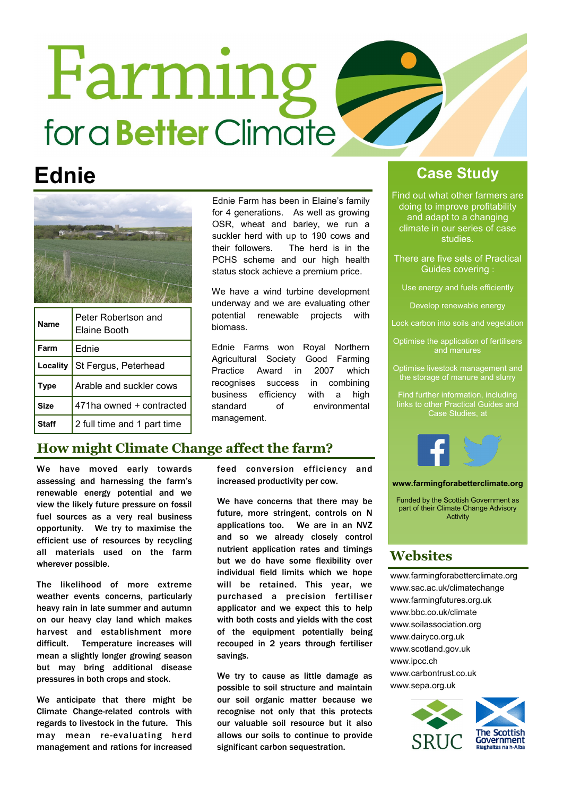# Farming for a **Better** Climate



| <b>Name</b> | Peter Robertson and<br><b>Elaine Booth</b> |
|-------------|--------------------------------------------|
| Farm        | Ednie                                      |
| Locality    | St Fergus, Peterhead                       |
| <b>Type</b> | Arable and suckler cows                    |
| <b>Size</b> | 471ha owned + contracted                   |
| Staff       | 2 full time and 1 part time                |

Ednie Farm has been in Elaine's family for 4 generations. As well as growing OSR, wheat and barley, we run a suckler herd with up to 190 cows and their followers. The herd is in the PCHS scheme and our high health status stock achieve a premium price.

We have a wind turbine development underway and we are evaluating other potential renewable projects with biomass.

Ednie Farms won Royal Northern Agricultural Society Good Farming Practice Award in 2007 which recognises success in combining business efficiency with a high standard of environmental management.

#### **How might Climate Change affect the farm?**

We have moved early towards assessing and harnessing the farm's renewable energy potential and we view the likely future pressure on fossil fuel sources as a very real business opportunity. We try to maximise the efficient use of resources by recycling all materials used on the farm wherever possible.

The likelihood of more extreme weather events concerns, particularly heavy rain in late summer and autumn on our heavy clay land which makes harvest and establishment more difficult. Temperature increases will mean a slightly longer growing season but may bring additional disease pressures in both crops and stock.

We anticipate that there might be Climate Change-related controls with regards to livestock in the future. This may mean re-evaluating herd management and rations for increased feed conversion efficiency and increased productivity per cow.

We have concerns that there may be future, more stringent, controls on N applications too. We are in an NVZ and so we already closely control nutrient application rates and timings but we do have some flexibility over individual field limits which we hope will be retained. This year, we purchased a precision fertiliser applicator and we expect this to help with both costs and yields with the cost of the equipment potentially being recouped in 2 years through fertiliser savings.

We try to cause as little damage as possible to soil structure and maintain our soil organic matter because we recognise not only that this protects our valuable soil resource but it also allows our soils to continue to provide significant carbon sequestration.

### **Ednie Case Study**

Find out what other farmers are doing to improve profitability and adapt to a changing climate in our series of case studies.

There are five sets of Practical Guides covering :

Use energy and fuels efficiently

Develop renewable energy

Lock carbon into soils and vegetation

Optimise the application of fertilisers and manures

Optimise livestock management and the storage of manure and slurry

Find further information, including links to other Practical Guides and



**www.farmingforabetterclimate.org**

Funded by the Scottish Government as part of their Climate Change Advisory Activity

#### **Websites**

www.farmingforabetterclimate.org www.sac.ac.uk/climatechange www.farmingfutures.org.uk www.bbc.co.uk/climate www.soilassociation.org www.dairyco.org.uk www.scotland.gov.uk www.ipcc.ch www.carbontrust.co.uk www.sepa.org.uk